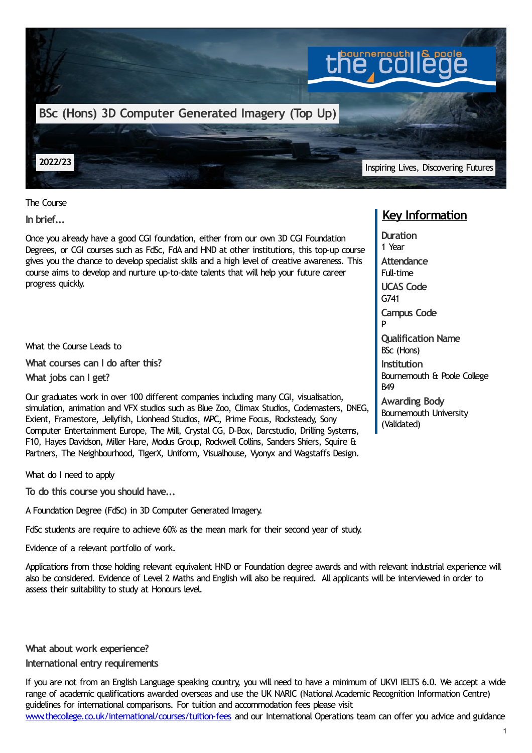

The Course

**In brief...**

Once you already have a good CGI foundation, either from our own 3D CGI Foundation Degrees, or CGI courses such as FdSc, FdA and HND at other institutions, this top-up course gives you the chance to develop specialist skills and a high level of creative awareness. This course aims to develop and nurture up-to-date talents that will help your future career progress quickly.

What the Course Leads to

**What courses can I do after this?**

**What jobs can I get?**

Our graduates work in over 100 different companies including many CGI, visualisation, simulation, animation and VFX studios such as Blue Zoo, Climax Studios, Codemasters, DNEG, Exient, Framestore, Jellyfish, Lionhead Studios, MPC, Prime Focus, Rocksteady, Sony Computer Entertainment Europe, The Mill, Crystal CG, D-Box, Darcstudio, Drilling Systems, F10, Hayes Davidson, Miller Hare, Modus Group, Rockwell Collins, Sanders Shiers, Squire & Partners, The Neighbourhood, TigerX, Uniform, Visualhouse, Vyonyx and Wagstaffs Design.

What do I need to apply

**To do this course you should have...**

A Foundation Degree (FdSc) in 3D Computer Generated Imagery.

FdSc students are require to achieve 60% as the mean mark for their second year of study.

Evidence of a relevant portfolio of work.

Applications from those holding relevant equivalent HND or Foundation degree awards and with relevant industrial experience will also be considered. Evidence of Level 2 Maths and English will also be required. All applicants will be interviewed in order to assess their suitability to study at Honours level.

**What about work experience?**

## **International entry requirements**

If you are not from an English Language speaking country, you will need to have a minimum of UKVI IELTS 6.0. We accept a wide range of academic qualifications awarded overseas and use the UK NARIC (National Academic Recognition Information Centre) guidelines for international comparisons. For tuition and accommodation fees please visit [www.thecollege.co.uk/international/courses/tuition-fees](http://www.thecollege.co.uk/international/courses/tuition-fees) and our International Operations team can offer you advice and guidance

## **Key Information**

**Duration** 1 Year **Attendance** Full-time **UCAS Code** G741 **Campus Code** P **Qualification Name** BSc (Hons) **Institution** Bournemouth & Poole College B49 **Awarding Body**

Bournemouth University (Validated)